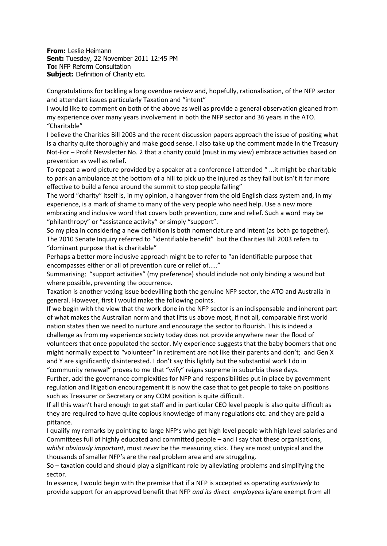**From:** Leslie Heimann **Sent:** Tuesday, 22 November 2011 12:45 PM **To:** NFP Reform Consultation **Subject:** Definition of Charity etc.

Congratulations for tackling a long overdue review and, hopefully, rationalisation, of the NFP sector and attendant issues particularly Taxation and "intent"

I would like to comment on both of the above as well as provide a general observation gleaned from my experience over many years involvement in both the NFP sector and 36 years in the ATO. "Charitable"

I believe the Charities Bill 2003 and the recent discussion papers approach the issue of positing what is a charity quite thoroughly and make good sense. I also take up the comment made in the Treasury Not-For – Profit Newsletter No. 2 that a charity could (must in my view) embrace activities based on prevention as well as relief.

To repeat a word picture provided by a speaker at a conference I attended " ...it might be charitable to park an ambulance at the bottom of a hill to pick up the injured as they fall but isn't it far more effective to build a fence around the summit to stop people falling"

The word "charity" itself is, in my opinion, a hangover from the old English class system and, in my experience, is a mark of shame to many of the very people who need help. Use a new more embracing and inclusive word that covers both prevention, cure and relief. Such a word may be "philanthropy" or "assistance activity" or simply "support".

So my plea in considering a new definition is both nomenclature and intent (as both go together). The 2010 Senate Inquiry referred to "identifiable benefit" but the Charities Bill 2003 refers to "dominant purpose that is charitable"

Perhaps a better more inclusive approach might be to refer to "an identifiable purpose that encompasses either or all of prevention cure or relief of....."

Summarising; "support activities" (my preference) should include not only binding a wound but where possible, preventing the occurrence.

Taxation is another vexing issue bedevilling both the genuine NFP sector, the ATO and Australia in general. However, first I would make the following points.

If we begin with the view that the work done in the NFP sector is an indispensable and inherent part of what makes the Australian norm and that lifts us above most, if not all, comparable first world nation states then we need to nurture and encourage the sector to flourish. This is indeed a challenge as from my experience society today does not provide anywhere near the flood of volunteers that once populated the sector. My experience suggests that the baby boomers that one might normally expect to "volunteer" in retirement are not like their parents and don't; and Gen X and Y are significantly disinterested. I don't say this lightly but the substantial work I do in "community renewal" proves to me that "wify" reigns supreme in suburbia these days.

Further, add the governance complexities for NFP and responsibilities put in place by government regulation and litigation encouragement it is now the case that to get people to take on positions such as Treasurer or Secretary or any COM position is quite difficult.

If all this wasn't hard enough to get staff and in particular CEO level people is also quite difficult as they are required to have quite copious knowledge of many regulations etc. and they are paid a pittance.

I qualify my remarks by pointing to large NFP's who get high level people with high level salaries and Committees full of highly educated and committed people – and I say that these organisations, *whilst obviously important*, must *never* be the measuring stick. They are most untypical and the thousands of smaller NFP's are the real problem area and are struggling.

So – taxation could and should play a significant role by alleviating problems and simplifying the sector.

In essence, I would begin with the premise that if a NFP is accepted as operating *exclusively* to provide support for an approved benefit that NFP *and its direct employees* is/are exempt from all